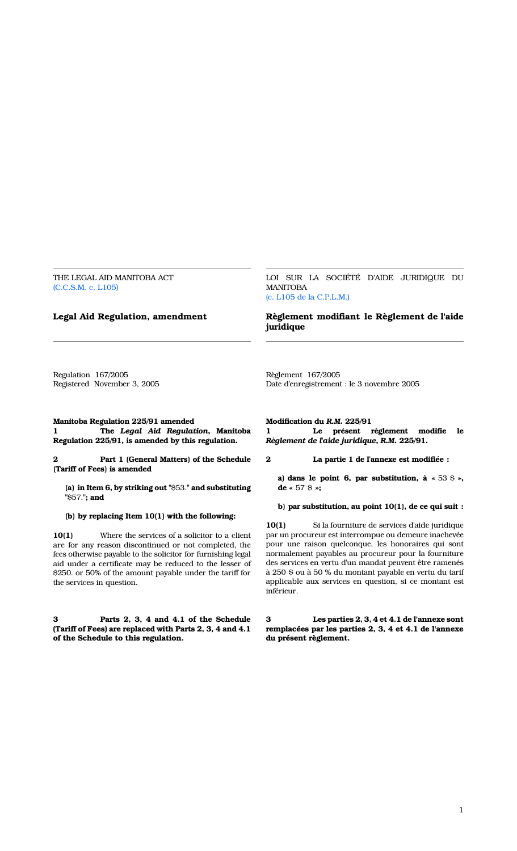THE LEGAL AID MANITOBA ACT (C.C.S.M. c. L105)

LOI SUR LA SOCIÉTÉ D'AIDE JURIDIQUE DU MANITOBA (c. L105 de la C.P.L.M.)

# Legal Aid Regulation, amendment Règlement modifiant le Règlement de l'aide juridique

Regulation 167/2005 Registered November 3, 2005

Manitoba Regulation 225/91 amended 1 The Legal Aid Regulation, Manitoba Regulation 225/91, is amended by this regulation.

Part 1 (General Matters) of the Schedule (Tariff of Fees) is amended

(a) in Item 6, by striking out "\$53." and substituting "\$57."; and

(b) by replacing Item 10(1) with the following:

10(1) Where the services of a solicitor to a client are for any reason discontinued or not completed, the fees otherwise payable to the solicitor for furnishing legal aid under a certificate may be reduced to the lesser of \$250. or 50% of the amount payable under the tariff for the services in question.

3 Parts 2, 3, 4 and 4.1 of the Schedule (Tariff of Fees) are replaced with Parts 2, 3, 4 and 4.1 of the Schedule to this regulation.

Date d'enregistrement : le 3 novembre 2005

Règlement 167/2005

Modification du R.M. 225/91 1 Le présent règlement modifie le Règlement de l'aide juridique, R.M. 225/91.

2 La partie 1 de l'annexe est modifiée :

a) dans le point 6, par substitution, à  $\ast$  53 \$ », de «  $57$  \$ »;

b) par substitution, au point 10(1), de ce qui suit :

10(1) Si la fourniture de services d'aide juridique par un procureur est interrompue ou demeure inachevée pour une raison quelconque, les honoraires qui sont normalement payables au procureur pour la fourniture des services en vertu d'un mandat peuvent être ramenés à 250 \$ ou à 50 % du montant payable en vertu du tarif applicable aux services en question, si ce montant est inférieur.

3 Les parties 2, 3, 4 et 4.1 de l'annexe sont remplacées par les parties 2, 3, 4 et 4.1 de l'annexe du présent règlement.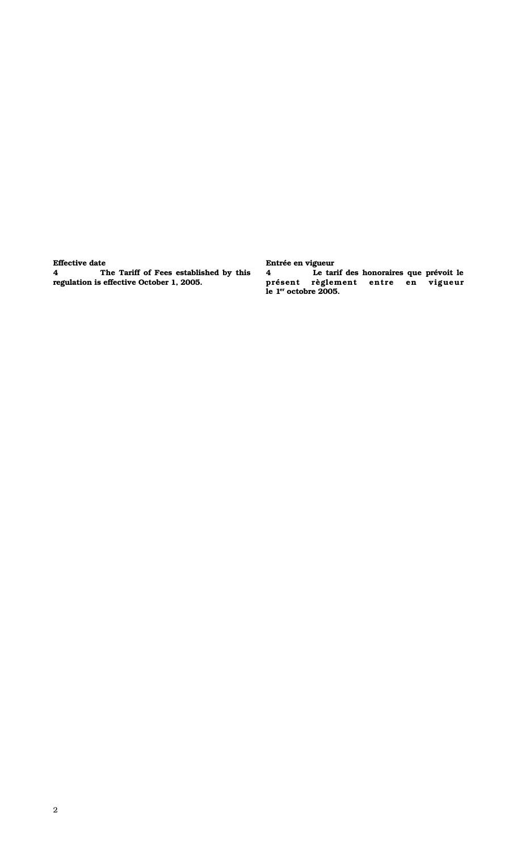## Effective date

4 The Tariff of Fees established by this regulation is effective October 1, 2005.

Entrée en vigueur Le tarif des honoraires que prévoit le présent règlement entre en vigueur le 1<sup>er</sup> octobre 2005.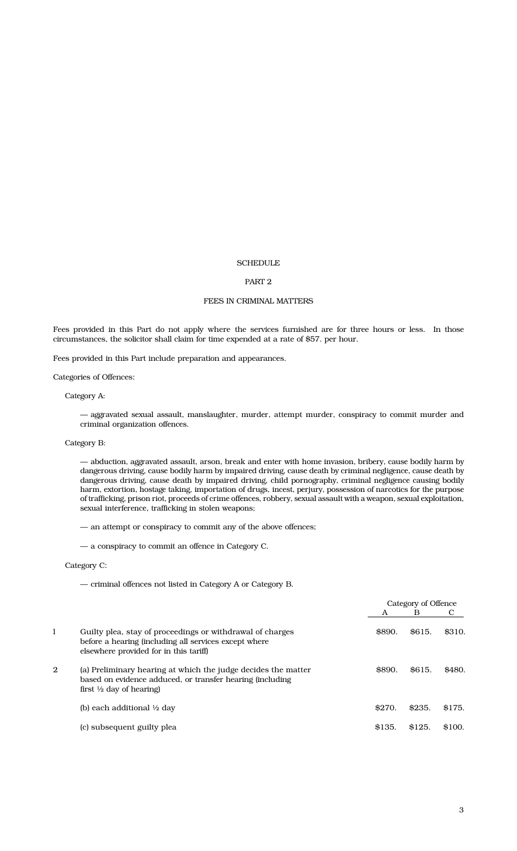#### **SCHEDULE**

#### PART 2

#### FEES IN CRIMINAL MATTERS

Fees provided in this Part do not apply where the services furnished are for three hours or less. In those circumstances, the solicitor shall claim for time expended at a rate of \$57. per hour.

Fees provided in this Part include preparation and appearances.

Categories of Offences:

Category A:

— aggravated sexual assault, manslaughter, murder, attempt murder, conspiracy to commit murder and criminal organization offences.

#### Category B:

— abduction, aggravated assault, arson, break and enter with home invasion, bribery, cause bodily harm by dangerous driving, cause bodily harm by impaired driving, cause death by criminal negligence, cause death by dangerous driving, cause death by impaired driving, child pornography, criminal negligence causing bodily harm, extortion, hostage taking, importation of drugs, incest, perjury, possession of narcotics for the purpose of trafficking, prison riot, proceeds of crime offences, robbery, sexual assault with a weapon, sexual exploitation, sexual interference, trafficking in stolen weapons;

— an attempt or conspiracy to commit any of the above offences;

— a conspiracy to commit an offence in Category C.

#### Category C:

— criminal offences not listed in Category A or Category B.

|              |                                                                                                                                                                   |        | Category of Offence |        |
|--------------|-------------------------------------------------------------------------------------------------------------------------------------------------------------------|--------|---------------------|--------|
|              |                                                                                                                                                                   | A      | B                   |        |
| 1            | Guilty plea, stay of proceedings or withdrawal of charges<br>before a hearing (including all services except where<br>elsewhere provided for in this tariff)      | \$890. | \$615.              | \$310. |
| $\mathbf{2}$ | (a) Preliminary hearing at which the judge decides the matter<br>based on evidence adduced, or transfer hearing (including<br>first $\frac{1}{2}$ day of hearing) | \$890. | \$615.              | \$480. |
|              | (b) each additional $\frac{1}{2}$ day                                                                                                                             | \$270. | \$235.              | \$175. |
|              | (c) subsequent guilty plea                                                                                                                                        | \$135. | \$125.              | \$100. |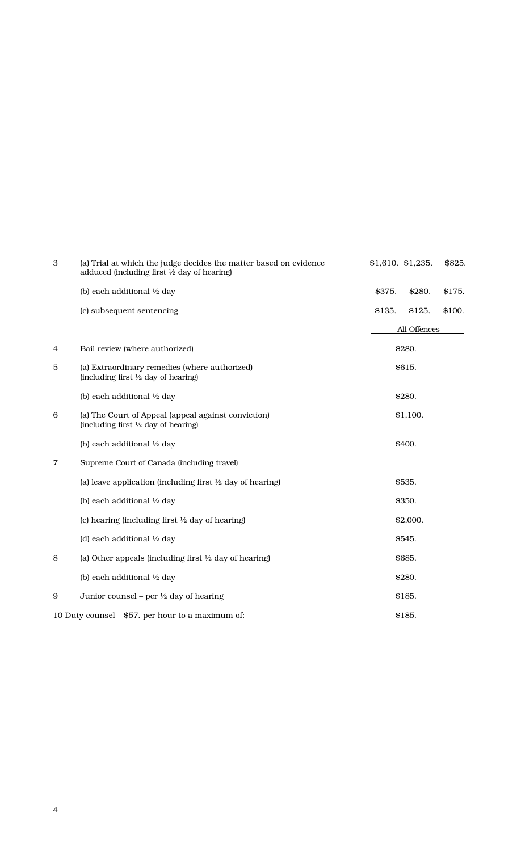| 3 | (a) Trial at which the judge decides the matter based on evidence<br>adduced (including first $\frac{1}{2}$ day of hearing) |        | $$1,610.$ \$1,235. | \$825. |
|---|-----------------------------------------------------------------------------------------------------------------------------|--------|--------------------|--------|
|   | (b) each additional 1/2 day                                                                                                 | \$375. | \$280.             | \$175. |
|   | (c) subsequent sentencing                                                                                                   | \$135. | \$125.             | \$100. |
|   |                                                                                                                             |        | All Offences       |        |
| 4 | Bail review (where authorized)                                                                                              |        | \$280.             |        |
| 5 | (a) Extraordinary remedies (where authorized)<br>(including first 1/2 day of hearing)                                       |        | \$615.             |        |
|   | (b) each additional 1/2 day                                                                                                 |        | \$280.             |        |
| 6 | (a) The Court of Appeal (appeal against conviction)<br>(including first $\frac{1}{2}$ day of hearing)                       |        | \$1,100.           |        |
|   | (b) each additional 1/2 day                                                                                                 |        | \$400.             |        |
| 7 | Supreme Court of Canada (including travel)                                                                                  |        |                    |        |
|   | (a) leave application (including first $\frac{1}{2}$ day of hearing)                                                        |        | \$535.             |        |
|   | (b) each additional 1/2 day                                                                                                 |        | \$350.             |        |
|   | (c) hearing (including first $\frac{1}{2}$ day of hearing)                                                                  |        | \$2,000.           |        |
|   | (d) each additional 1/2 day                                                                                                 |        | \$545.             |        |
| 8 | (a) Other appeals (including first $\frac{1}{2}$ day of hearing)                                                            |        | \$685.             |        |
|   | (b) each additional 1/2 day                                                                                                 |        | \$280.             |        |
| 9 | Junior counsel – per $\frac{1}{2}$ day of hearing                                                                           |        | \$185.             |        |
|   | 10 Duty counsel - \$57. per hour to a maximum of:                                                                           |        | \$185.             |        |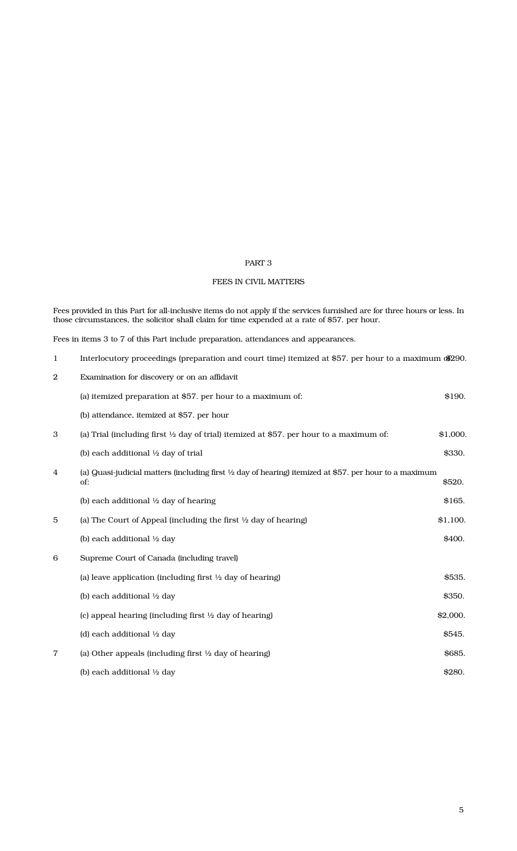## PART 3

# FEES IN CIVIL MATTERS

Fees provided in this Part for all-inclusive items do not apply if the services furnished are for three hours or less. In those circumstances, the solicitor shall claim for time expended at a rate of \$57. per hour.

Fees in items 3 to 7 of this Part include preparation, attendances and appearances.

| $\mathbf{1}$ | Interlocutory proceedings (preparation and court time) itemized at \$57, per hour to a maximum \$290.                    |          |
|--------------|--------------------------------------------------------------------------------------------------------------------------|----------|
| $\mathbf{2}$ | Examination for discovery or on an affidavit                                                                             |          |
|              | (a) itemized preparation at \$57. per hour to a maximum of:                                                              | \$190.   |
|              | (b) attendance, itemized at \$57. per hour                                                                               |          |
| 3            | (a) Trial (including first $\frac{1}{2}$ day of trial) itemized at \$57. per hour to a maximum of:                       | \$1,000. |
|              | (b) each additional $\frac{1}{2}$ day of trial                                                                           | \$330.   |
| 4            | (a) Quasi-judicial matters (including first $\frac{1}{2}$ day of hearing) itemized at \$57. per hour to a maximum<br>of: | \$520.   |
|              | (b) each additional 1/2 day of hearing                                                                                   | \$165.   |
| 5            | (a) The Court of Appeal (including the first $\frac{1}{2}$ day of hearing)                                               | \$1,100. |
|              | (b) each additional 1/2 day                                                                                              | \$400.   |
| 6            | Supreme Court of Canada (including travel)                                                                               |          |
|              | (a) leave application (including first $\frac{1}{2}$ day of hearing)                                                     | \$535.   |
|              | (b) each additional 1/2 day                                                                                              | \$350.   |
|              | (c) appeal hearing (including first $\frac{1}{2}$ day of hearing)                                                        | \$2,000. |
|              | (d) each additional 1/2 day                                                                                              | \$545.   |
| 7            | (a) Other appeals (including first $\frac{1}{2}$ day of hearing)                                                         | \$685.   |
|              | (b) each additional $\frac{1}{2}$ day                                                                                    | \$280.   |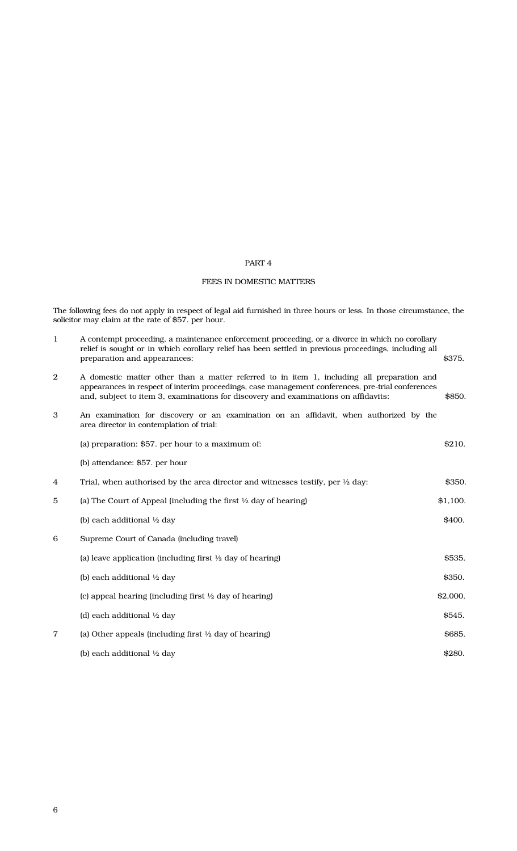## PART 4

# FEES IN DOMESTIC MATTERS

The following fees do not apply in respect of legal aid furnished in three hours or less. In those circumstance, the solicitor may claim at the rate of \$57. per hour.

| 1              | A contempt proceeding, a maintenance enforcement proceeding, or a divorce in which no corollary<br>relief is sought or in which corollary relief has been settled in previous proceedings, including all<br>preparation and appearances:                                              | \$375.   |
|----------------|---------------------------------------------------------------------------------------------------------------------------------------------------------------------------------------------------------------------------------------------------------------------------------------|----------|
| $\overline{2}$ | A domestic matter other than a matter referred to in item 1, including all preparation and<br>appearances in respect of interim proceedings, case management conferences, pre-trial conferences<br>and, subject to item 3, examinations for discovery and examinations on affidavits: | \$850.   |
| 3              | An examination for discovery or an examination on an affidavit, when authorized by the<br>area director in contemplation of trial:                                                                                                                                                    |          |
|                | (a) preparation: \$57. per hour to a maximum of:                                                                                                                                                                                                                                      | \$210.   |
|                | (b) attendance: \$57. per hour                                                                                                                                                                                                                                                        |          |
| 4              | Trial, when authorised by the area director and witnesses testify, per $\frac{1}{2}$ day:                                                                                                                                                                                             | \$350.   |
| 5              | (a) The Court of Appeal (including the first $\frac{1}{2}$ day of hearing)                                                                                                                                                                                                            | \$1,100. |
|                | (b) each additional 1/2 day                                                                                                                                                                                                                                                           | \$400.   |
| 6              | Supreme Court of Canada (including travel)                                                                                                                                                                                                                                            |          |
|                | (a) leave application (including first $\frac{1}{2}$ day of hearing)                                                                                                                                                                                                                  | \$535.   |
|                | (b) each additional 1/2 day                                                                                                                                                                                                                                                           | \$350.   |
|                | (c) appeal hearing (including first $\frac{1}{2}$ day of hearing)                                                                                                                                                                                                                     | \$2,000. |
|                | (d) each additional 1/2 day                                                                                                                                                                                                                                                           | \$545.   |
| $\overline{7}$ | (a) Other appeals (including first $\frac{1}{2}$ day of hearing)                                                                                                                                                                                                                      | \$685.   |
|                | (b) each additional $\frac{1}{2}$ day                                                                                                                                                                                                                                                 | \$280.   |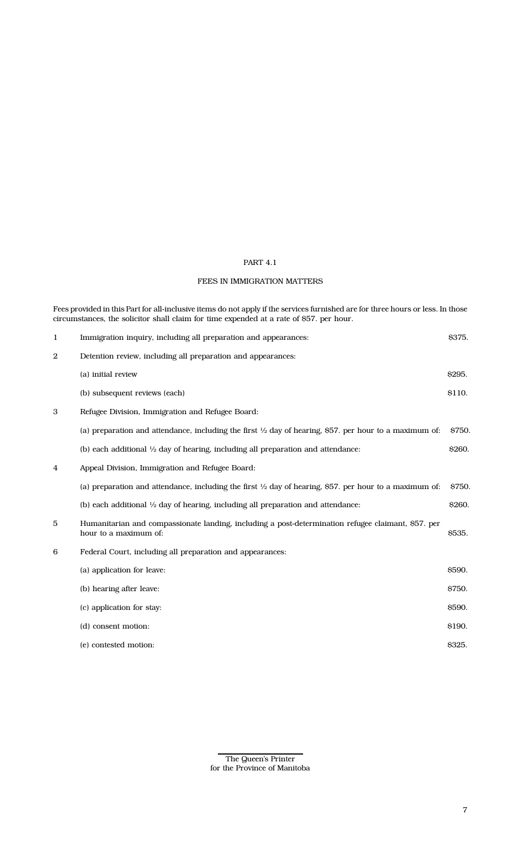## PART 4.1

## FEES IN IMMIGRATION MATTERS

Fees provided in this Part for all-inclusive items do not apply if the services furnished are for three hours or less. In those circumstances, the solicitor shall claim for time expended at a rate of \$57. per hour.

| $\mathbf{1}$     | Immigration inquiry, including all preparation and appearances:                                                             | \$375.        |
|------------------|-----------------------------------------------------------------------------------------------------------------------------|---------------|
| $\boldsymbol{2}$ | Detention review, including all preparation and appearances:                                                                |               |
|                  | (a) initial review                                                                                                          | \$295.        |
|                  | (b) subsequent reviews (each)                                                                                               | \$110.        |
| 3                | Refugee Division, Immigration and Refugee Board:                                                                            |               |
|                  | (a) preparation and attendance, including the first $\frac{1}{2}$ day of hearing, \$57. per hour to a maximum of:           | <b>S750.</b>  |
|                  | (b) each additional $\frac{1}{2}$ day of hearing, including all preparation and attendance:                                 | \$260.        |
| 4                | Appeal Division, Immigration and Refugee Board:                                                                             |               |
|                  | (a) preparation and attendance, including the first $\frac{1}{2}$ day of hearing, \$57. per hour to a maximum of:           | S750.         |
|                  | (b) each additional $\frac{1}{2}$ day of hearing, including all preparation and attendance:                                 | \$260.        |
| 5                | Humanitarian and compassionate landing, including a post-determination refugee claimant, \$57. per<br>hour to a maximum of: | <b>\$535.</b> |
| 6                | Federal Court, including all preparation and appearances:                                                                   |               |
|                  | (a) application for leave:                                                                                                  | \$590.        |
|                  | (b) hearing after leave:                                                                                                    | \$750.        |
|                  | (c) application for stay:                                                                                                   | \$590.        |
|                  | (d) consent motion:                                                                                                         | \$190.        |
|                  | (e) contested motion:                                                                                                       | \$325.        |
|                  |                                                                                                                             |               |

The Queen's Printer for the Province of Manitoba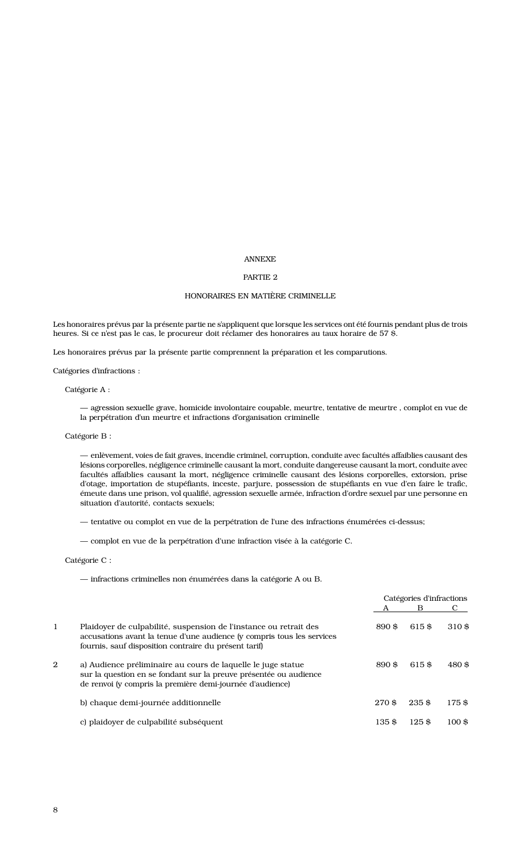#### ANNEXE

#### PARTIE 2

#### HONORAIRES EN MATIÈRE CRIMINELLE

Les honoraires prévus par la présente partie ne s'appliquent que lorsque les services ont été fournis pendant plus de trois heures. Si ce n'est pas le cas, le procureur doit réclamer des honoraires au taux horaire de 57 \$.

Les honoraires prévus par la présente partie comprennent la préparation et les comparutions.

Catégories d'infractions :

Catégorie A :

— agression sexuelle grave, homicide involontaire coupable, meurtre, tentative de meurtre , complot en vue de la perpétration d'un meurtre et infractions d'organisation criminelle

Catégorie B :

— enlèvement, voies de fait graves, incendie criminel, corruption, conduite avec facultés affaiblies causant des lésions corporelles, négligence criminelle causant la mort, conduite dangereuse causant la mort, conduite avec facultés affaiblies causant la mort, négligence criminelle causant des lésions corporelles, extorsion, prise d'otage, importation de stupéfiants, inceste, parjure, possession de stupéfiants en vue d'en faire le trafic, émeute dans une prison, vol qualifié, agression sexuelle armée, infraction d'ordre sexuel par une personne en situation d'autorité, contacts sexuels;

— tentative ou complot en vue de la perpétration de l'une des infractions énumérées ci-dessus;

— complot en vue de la perpétration d'une infraction visée à la catégorie C.

Catégorie C :

— infractions criminelles non énumérées dans la catégorie A ou B.

|              |                                                                                                                                                                                                      |       | Catégories d'infractions |                   |
|--------------|------------------------------------------------------------------------------------------------------------------------------------------------------------------------------------------------------|-------|--------------------------|-------------------|
|              |                                                                                                                                                                                                      |       | B                        |                   |
| 1            | Plaidoyer de culpabilité, suspension de l'instance ou retrait des<br>accusations avant la tenue d'une audience (y compris tous les services<br>fournis, sauf disposition contraire du présent tarif) | 890\$ | 615\$                    | 310\$             |
| $\mathbf{2}$ | a) Audience préliminaire au cours de laquelle le juge statue<br>sur la question en se fondant sur la preuve présentée ou audience<br>de renvoi (y compris la première demi-journée d'audience)       | 890\$ | 615\$                    | 480\$             |
|              | b) chaque demi-journée additionnelle                                                                                                                                                                 | 270\$ | 235\$                    | 175\$             |
|              | c) plaidover de culpabilité subséquent                                                                                                                                                               | 135\$ | $125$ \$                 | $100 \text{ }$ \$ |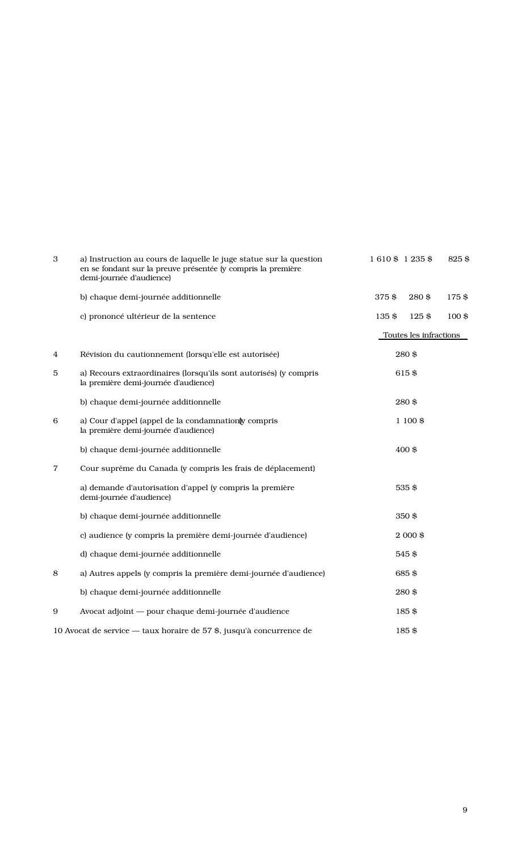| 3              | a) Instruction au cours de laquelle le juge statue sur la question<br>en se fondant sur la preuve présentée (y compris la première<br>demi-journée d'audience) | 1610\$ 1235\$          | 825\$    |
|----------------|----------------------------------------------------------------------------------------------------------------------------------------------------------------|------------------------|----------|
|                | b) chaque demi-journée additionnelle                                                                                                                           | 375\$<br>280\$         | 175\$    |
|                | c) prononcé ultérieur de la sentence                                                                                                                           | 135\$<br>$125$ \$      | $100$ \$ |
|                |                                                                                                                                                                | Toutes les infractions |          |
| 4              | Révision du cautionnement (lorsqu'elle est autorisée)                                                                                                          | 280\$                  |          |
| 5              | a) Recours extraordinaires (lorsqu'ils sont autorisés) (y compris<br>la première demi-journée d'audience)                                                      | 615\$                  |          |
|                | b) chaque demi-journée additionnelle                                                                                                                           | 280\$                  |          |
| 6              | a) Cour d'appel (appel de la condamnation y compris<br>la première demi-journée d'audience)                                                                    | $1100$ \$              |          |
|                | b) chaque demi-journée additionnelle                                                                                                                           | 400\$                  |          |
| $\overline{7}$ | Cour suprême du Canada (y compris les frais de déplacement)                                                                                                    |                        |          |
|                | a) demande d'autorisation d'appel (y compris la première<br>demi-journée d'audience)                                                                           | 535\$                  |          |
|                | b) chaque demi-journée additionnelle                                                                                                                           | 350\$                  |          |
|                | c) audience (y compris la première demi-journée d'audience)                                                                                                    | $2000$ \$              |          |
|                | d) chaque demi-journée additionnelle                                                                                                                           | 545\$                  |          |
| 8              | a) Autres appels (y compris la première demi-journée d'audience)                                                                                               | 685\$                  |          |
|                | b) chaque demi-journée additionnelle                                                                                                                           | 280\$                  |          |
| 9              | Avocat adjoint - pour chaque demi-journée d'audience                                                                                                           | 185\$                  |          |
|                | 10 Avocat de service — taux horaire de 57 \$, jusqu'à concurrence de                                                                                           | 185\$                  |          |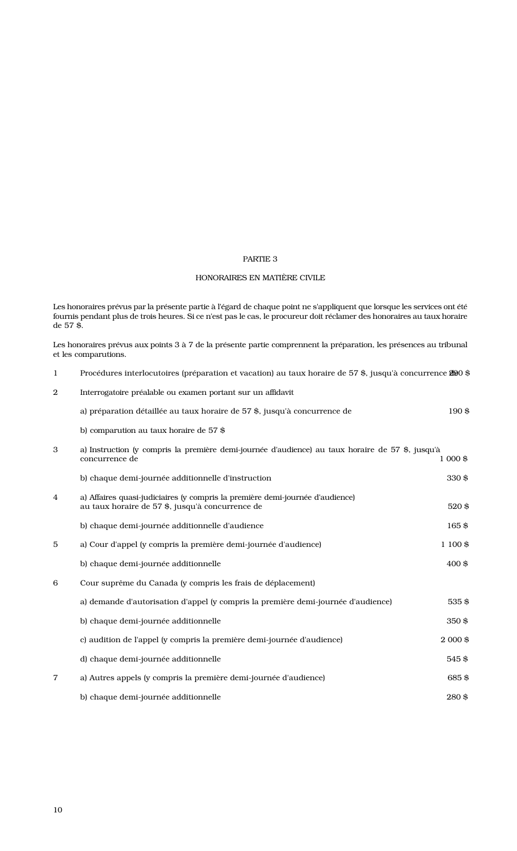## PARTIE 3

# HONORAIRES EN MATIÈRE CIVILE

Les honoraires prévus par la présente partie à l'égard de chaque point ne s'appliquent que lorsque les services ont été fournis pendant plus de trois heures. Si ce n'est pas le cas, le procureur doit réclamer des honoraires au taux horaire de 57 \$.

Les honoraires prévus aux points 3 à 7 de la présente partie comprennent la préparation, les présences au tribunal et les comparutions.

| $\mathbf 1$      | Procédures interlocutoires (préparation et vacation) au taux horaire de 57 \$, jusqu'à concurrence 200 \$                         |          |
|------------------|-----------------------------------------------------------------------------------------------------------------------------------|----------|
| $\boldsymbol{2}$ | Interrogatoire préalable ou examen portant sur un affidavit                                                                       |          |
|                  | a) préparation détaillée au taux horaire de 57 \$, jusqu'à concurrence de                                                         | 190\$    |
|                  | b) comparution au taux horaire de 57 \$                                                                                           |          |
| 3                | a) Instruction (y compris la première demi-journée d'audience) au taux horaire de 57 \$, jusqu'à<br>concurrence de                | 1 000 \$ |
|                  | b) chaque demi-journée additionnelle d'instruction                                                                                | 330\$    |
| $\overline{4}$   | a) Affaires quasi-judiciaires (y compris la première demi-journée d'audience)<br>au taux horaire de 57 \$, jusqu'à concurrence de | 520\$    |
|                  | b) chaque demi-journée additionnelle d'audience                                                                                   | 165\$    |
| $\mathbf 5$      | a) Cour d'appel (y compris la première demi-journée d'audience)                                                                   | 1 100 \$ |
|                  | b) chaque demi-journée additionnelle                                                                                              | 400\$    |
| 6                | Cour suprême du Canada (y compris les frais de déplacement)                                                                       |          |
|                  | a) demande d'autorisation d'appel (y compris la première demi-journée d'audience)                                                 | 535\$    |
|                  | b) chaque demi-journée additionnelle                                                                                              | 350\$    |
|                  | c) audition de l'appel (y compris la première demi-journée d'audience)                                                            | 2 000 \$ |
|                  | d) chaque demi-journée additionnelle                                                                                              | 545\$    |
| $\overline{7}$   | a) Autres appels (y compris la première demi-journée d'audience)                                                                  | 685\$    |
|                  | b) chaque demi-journée additionnelle                                                                                              | 280\$    |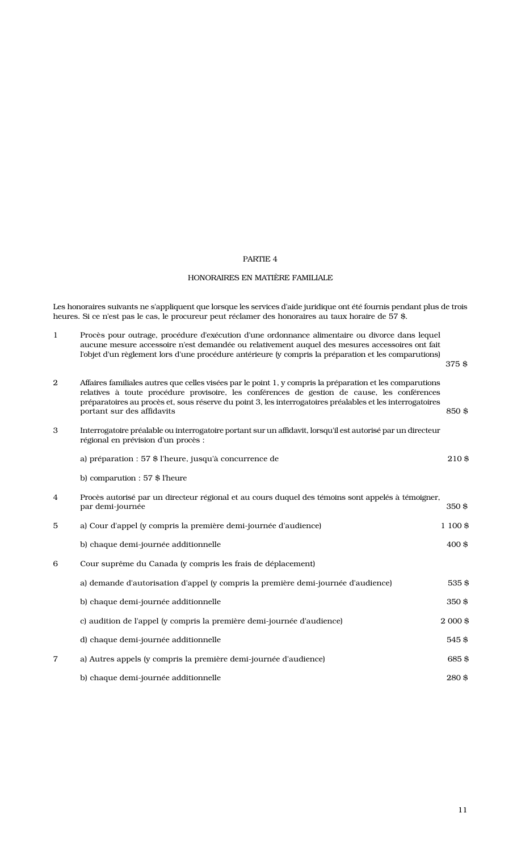#### PARTIE 4

## HONORAIRES EN MATIÈRE FAMILIALE

Les honoraires suivants ne s'appliquent que lorsque les services d'aide juridique ont été fournis pendant plus de trois heures. Si ce n'est pas le cas, le procureur peut réclamer des honoraires au taux horaire de 57 \$.

- 1 Procès pour outrage, procédure d'exécution d'une ordonnance alimentaire ou divorce dans lequel aucune mesure accessoire n'est demandée ou relativement auquel des mesures accessoires ont fait l'objet d'un règlement lors d'une procédure antérieure (y compris la préparation et les comparutions)
	- 375 \$
- 2 Affaires familiales autres que celles visées par le point 1, y compris la préparation et les comparutions relatives à toute procédure provisoire, les conférences de gestion de cause, les conférences préparatoires au procès et, sous réserve du point 3, les interrogatoires préalables et les interrogatoires portant sur des affidavits 850 \$
- 3 Interrogatoire préalable ou interrogatoire portant sur un affidavit, lorsqu'il est autorisé par un directeur régional en prévision d'un procès :

|   | a) préparation : 57 \$ l'heure, jusqu'à concurrence de                                                                 | 210\$     |
|---|------------------------------------------------------------------------------------------------------------------------|-----------|
|   | b) comparution : 57 \$ l'heure                                                                                         |           |
| 4 | Procès autorisé par un directeur régional et au cours duquel des témoins sont appelés à témoigner,<br>par demi-journée | $350$ \$  |
| 5 | a) Cour d'appel (y compris la première demi-journée d'audience)                                                        | 1 100 \$  |
|   | b) chaque demi-journée additionnelle                                                                                   | 400\$     |
| 6 | Cour suprême du Canada (y compris les frais de déplacement)                                                            |           |
|   | a) demande d'autorisation d'appel (y compris la première demi-journée d'audience)                                      | 535\$     |
|   | b) chaque demi-journée additionnelle                                                                                   | 350\$     |
|   | c) audition de l'appel (y compris la première demi-journée d'audience)                                                 | $2000$ \$ |
|   | d) chaque demi-journée additionnelle                                                                                   | 545\$     |
| 7 | a) Autres appels (y compris la première demi-journée d'audience)                                                       | 685\$     |
|   | b) chaque demi-journée additionnelle                                                                                   | 280\$     |